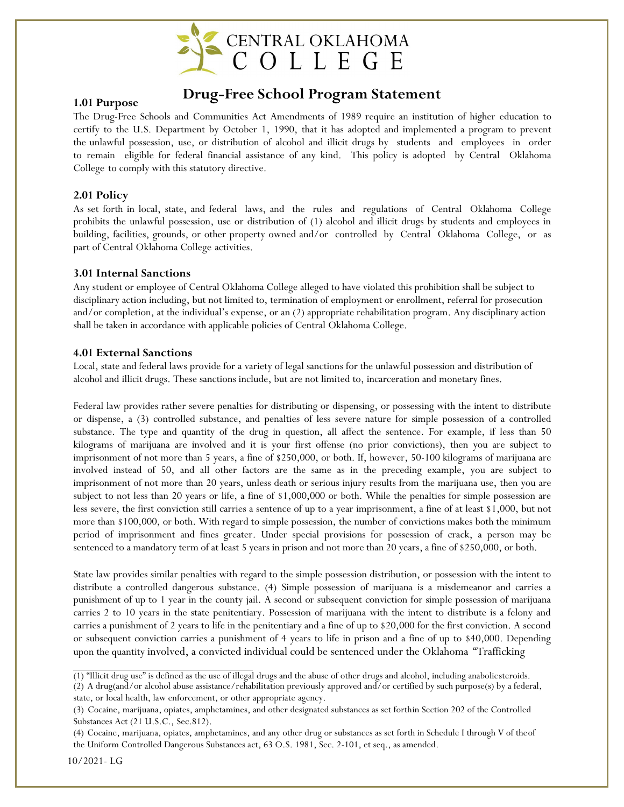

# **1.01 Purpose Drug-Free School Program Statement**

The Drug-Free Schools and Communities Act Amendments of 1989 require an institution of higher education to certify to the U.S. Department by October 1, 1990, that it has adopted and implemented a program to prevent the unlawful possession, use, or distribution of alcohol and illicit drugs by students and employees in order to remain eligible for federal financial assistance of any kind. This policy is adopted by Central Oklahoma College to comply with this statutory directive.

### **2.01 Policy**

As set forth in local, state, and federal laws, and the rules and regulations of Central Oklahoma College prohibits the unlawful possession, use or distribution of (1) alcohol and illicit drugs by students and employees in building, facilities, grounds, or other property owned and/or controlled by Central Oklahoma College, or as part of Central Oklahoma College activities.

#### **3.01 Internal Sanctions**

Any student or employee of Central Oklahoma College alleged to have violated this prohibition shall be subject to disciplinary action including, but not limited to, termination of employment or enrollment, referral for prosecution and/or completion, at the individual's expense, or an (2) appropriate rehabilitation program. Any disciplinary action shall be taken in accordance with applicable policies of Central Oklahoma College.

#### **4.01 External Sanctions**

Local, state and federal laws provide for a variety of legal sanctions for the unlawful possession and distribution of alcohol and illicit drugs. These sanctions include, but are not limited to, incarceration and monetary fines.

Federal law provides rather severe penalties for distributing or dispensing, or possessing with the intent to distribute or dispense, a (3) controlled substance, and penalties of less severe nature for simple possession of a controlled substance. The type and quantity of the drug in question, all affect the sentence. For example, if less than 50 kilograms of marijuana are involved and it is your first offense (no prior convictions), then you are subject to imprisonment of not more than 5 years, a fine of \$250,000, or both. If, however, 50-100 kilograms of marijuana are involved instead of 50, and all other factors are the same as in the preceding example, you are subject to imprisonment of not more than 20 years, unless death or serious injury results from the marijuana use, then you are subject to not less than 20 years or life, a fine of \$1,000,000 or both. While the penalties for simple possession are less severe, the first conviction still carries a sentence of up to a year imprisonment, a fine of at least \$1,000, but not more than \$100,000, or both. With regard to simple possession, the number of convictions makes both the minimum period of imprisonment and fines greater. Under special provisions for possession of crack, a person may be sentenced to a mandatory term of at least 5 years in prison and not more than 20 years, a fine of \$250,000, or both.

State law provides similar penalties with regard to the simple possession distribution, or possession with the intent to distribute a controlled dangerous substance. (4) Simple possession of marijuana is a misdemeanor and carries a punishment of up to 1 year in the county jail. A second or subsequent conviction for simple possession of marijuana carries 2 to 10 years in the state penitentiary. Possession of marijuana with the intent to distribute is a felony and carries a punishment of 2 years to life in the penitentiary and a fine of up to \$20,000 for the first conviction. A second or subsequent conviction carries a punishment of 4 years to life in prison and a fine of up to \$40,000. Depending upon the quantity involved, a convicted individual could be sentenced under the Oklahoma "Trafficking

<sup>(1)</sup> "Illicit drug use" is defined as the use of illegal drugs and the abuse of other drugs and alcohol, including anabolic steroids.

<sup>(2)</sup> A drug(and/or alcohol abuse assistance/rehabilitation previously approved and/or certified by such purpose(s) by a federal, state, or local health, law enforcement, or other appropriate agency.

<sup>(3)</sup> Cocaine, marijuana, opiates, amphetamines, and other designated substances as set forthin Section 202 of the Controlled Substances Act (21 U.S.C., Sec.812).

<sup>(4)</sup> Cocaine, marijuana, opiates, amphetamines, and any other drug or substances as set forth in Schedule I through V of the of the Uniform Controlled Dangerous Substances act, 63 O.S. 1981, Sec. 2-101, et seq., as amended.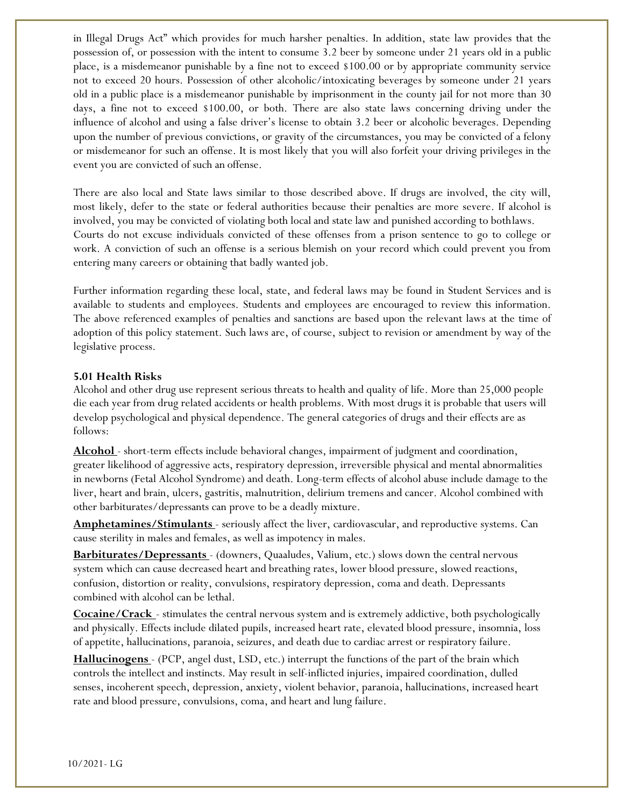in Illegal Drugs Act" which provides for much harsher penalties. In addition, state law provides that the possession of, or possession with the intent to consume 3.2 beer by someone under 21 years old in a public place, is a misdemeanor punishable by a fine not to exceed \$100.00 or by appropriate community service not to exceed 20 hours. Possession of other alcoholic/intoxicating beverages by someone under 21 years old in a public place is a misdemeanor punishable by imprisonment in the county jail for not more than 30 days, a fine not to exceed \$100.00, or both. There are also state laws concerning driving under the influence of alcohol and using a false driver's license to obtain 3.2 beer or alcoholic beverages. Depending upon the number of previous convictions, or gravity of the circumstances, you may be convicted of a felony or misdemeanor for such an offense. It is most likely that you will also forfeit your driving privileges in the event you are convicted of such an offense.

There are also local and State laws similar to those described above. If drugs are involved, the city will, most likely, defer to the state or federal authorities because their penalties are more severe. If alcohol is involved, you may be convicted of violating both local and state law and punished according to bothlaws. Courts do not excuse individuals convicted of these offenses from a prison sentence to go to college or work. A conviction of such an offense is a serious blemish on your record which could prevent you from entering many careers or obtaining that badly wanted job.

Further information regarding these local, state, and federal laws may be found in Student Services and is available to students and employees. Students and employees are encouraged to review this information. The above referenced examples of penalties and sanctions are based upon the relevant laws at the time of adoption of this policy statement. Such laws are, of course, subject to revision or amendment by way of the legislative process.

#### **5.01 Health Risks**

Alcohol and other drug use represent serious threats to health and quality of life. More than 25,000 people die each year from drug related accidents or health problems. With most drugs it is probable that users will develop psychological and physical dependence. The general categories of drugs and their effects are as follows:

**Alcohol** - short-term effects include behavioral changes, impairment of judgment and coordination, greater likelihood of aggressive acts, respiratory depression, irreversible physical and mental abnormalities in newborns (Fetal Alcohol Syndrome) and death. Long-term effects of alcohol abuse include damage to the liver, heart and brain, ulcers, gastritis, malnutrition, delirium tremens and cancer. Alcohol combined with other barbiturates/depressants can prove to be a deadly mixture.

**Amphetamines/Stimulants** - seriously affect the liver, cardiovascular, and reproductive systems. Can cause sterility in males and females, as well as impotency in males.

**Barbiturates/Depressants** - (downers, Quaaludes, Valium, etc.) slows down the central nervous system which can cause decreased heart and breathing rates, lower blood pressure, slowed reactions, confusion, distortion or reality, convulsions, respiratory depression, coma and death. Depressants combined with alcohol can be lethal.

**Cocaine/Crack** - stimulates the central nervous system and is extremely addictive, both psychologically and physically. Effects include dilated pupils, increased heart rate, elevated blood pressure, insomnia, loss of appetite, hallucinations, paranoia, seizures, and death due to cardiac arrest or respiratory failure.

**Hallucinogens** - (PCP, angel dust, LSD, etc.) interrupt the functions of the part of the brain which controls the intellect and instincts. May result in self-inflicted injuries, impaired coordination, dulled senses, incoherent speech, depression, anxiety, violent behavior, paranoia, hallucinations, increased heart rate and blood pressure, convulsions, coma, and heart and lung failure.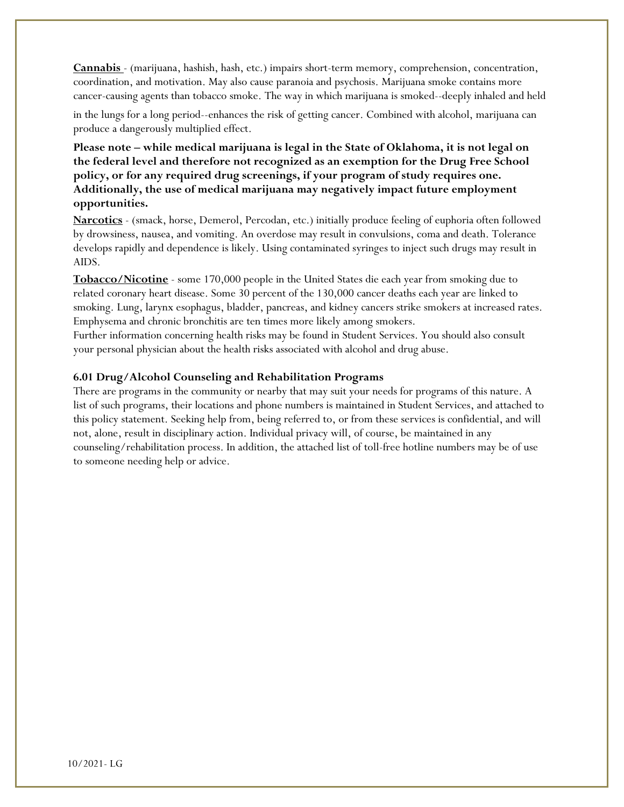**Cannabis** - (marijuana, hashish, hash, etc.) impairs short-term memory, comprehension, concentration, coordination, and motivation. May also cause paranoia and psychosis. Marijuana smoke contains more cancer-causing agents than tobacco smoke. The way in which marijuana is smoked--deeply inhaled and held

in the lungs for a long period--enhances the risk of getting cancer. Combined with alcohol, marijuana can produce a dangerously multiplied effect.

**Please note – while medical marijuana is legal in the State of Oklahoma, it is not legal on the federal level and therefore not recognized as an exemption for the Drug Free School policy, or for any required drug screenings, if your program of study requires one. Additionally, the use of medical marijuana may negatively impact future employment opportunities.**

**Narcotics** - (smack, horse, Demerol, Percodan, etc.) initially produce feeling of euphoria often followed by drowsiness, nausea, and vomiting. An overdose may result in convulsions, coma and death. Tolerance develops rapidly and dependence is likely. Using contaminated syringes to inject such drugs may result in AIDS.

**Tobacco/Nicotine** - some 170,000 people in the United States die each year from smoking due to related coronary heart disease. Some 30 percent of the 130,000 cancer deaths each year are linked to smoking. Lung, larynx esophagus, bladder, pancreas, and kidney cancers strike smokers at increased rates. Emphysema and chronic bronchitis are ten times more likely among smokers.

Further information concerning health risks may be found in Student Services. You should also consult your personal physician about the health risks associated with alcohol and drug abuse.

### **6.01 Drug/Alcohol Counseling and Rehabilitation Programs**

There are programs in the community or nearby that may suit your needs for programs of this nature. A list of such programs, their locations and phone numbers is maintained in Student Services, and attached to this policy statement. Seeking help from, being referred to, or from these services is confidential, and will not, alone, result in disciplinary action. Individual privacy will, of course, be maintained in any counseling/rehabilitation process. In addition, the attached list of toll-free hotline numbers may be of use to someone needing help or advice.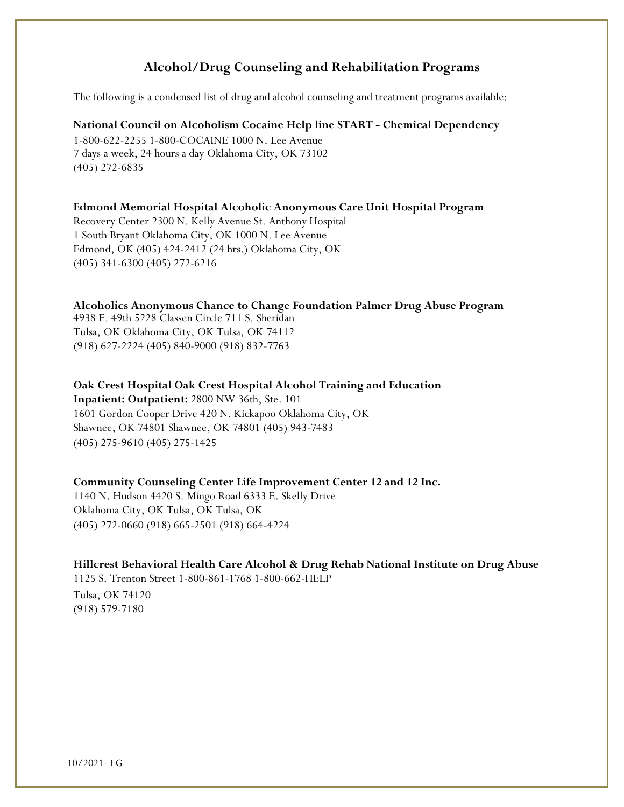## **Alcohol/Drug Counseling and Rehabilitation Programs**

The following is a condensed list of drug and alcohol counseling and treatment programs available:

#### **National Council on Alcoholism Cocaine Help line START - Chemical Dependency**

1-800-622-2255 1-800-COCAINE 1000 N. Lee Avenue 7 days a week, 24 hours a day Oklahoma City, OK 73102 (405) 272-6835

#### **Edmond Memorial Hospital Alcoholic Anonymous Care Unit Hospital Program**

Recovery Center 2300 N. Kelly Avenue St. Anthony Hospital 1 South Bryant Oklahoma City, OK 1000 N. Lee Avenue Edmond, OK (405) 424-2412 (24 hrs.) Oklahoma City, OK (405) 341-6300 (405) 272-6216

#### **Alcoholics Anonymous Chance to Change Foundation Palmer Drug Abuse Program**

4938 E. 49th 5228 Classen Circle 711 S. Sheridan Tulsa, OK Oklahoma City, OK Tulsa, OK 74112 (918) 627-2224 (405) 840-9000 (918) 832-7763

# **Oak Crest Hospital Oak Crest Hospital Alcohol Training and Education**

**Inpatient: Outpatient:** 2800 NW 36th, Ste. 101 1601 Gordon Cooper Drive 420 N. Kickapoo Oklahoma City, OK Shawnee, OK 74801 Shawnee, OK 74801 (405) 943-7483 (405) 275-9610 (405) 275-1425

#### **Community Counseling Center Life Improvement Center 12 and 12 Inc.**

1140 N. Hudson 4420 S. Mingo Road 6333 E. Skelly Drive Oklahoma City, OK Tulsa, OK Tulsa, OK (405) 272-0660 (918) 665-2501 (918) 664-4224

### **Hillcrest Behavioral Health Care Alcohol & Drug Rehab National Institute on Drug Abuse**

1125 S. Trenton Street 1-800-861-1768 1-800-662-HELP

Tulsa, OK 74120 (918) 579-7180